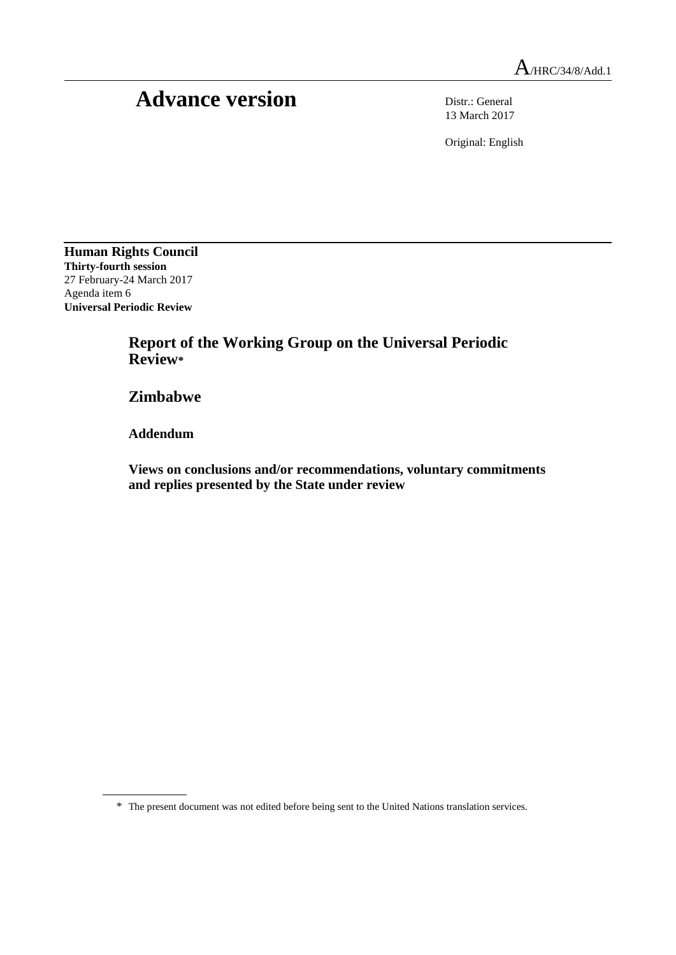# Advance version Distr.: General

13 March 2017

Original: English

**Human Rights Council Thirty-fourth session** 27 February-24 March 2017 Agenda item 6 **Universal Periodic Review**

> **Report of the Working Group on the Universal Periodic Review\***

**Zimbabwe**

**Addendum**

**Views on conclusions and/or recommendations, voluntary commitments and replies presented by the State under review**

<sup>\*</sup> The present document was not edited before being sent to the United Nations translation services.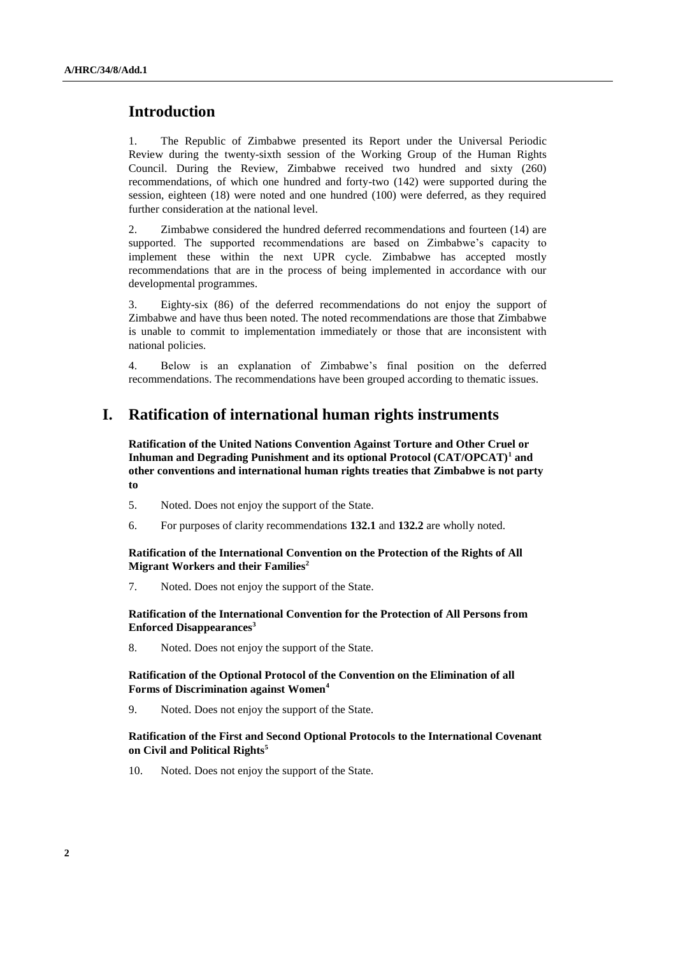## **Introduction**

1. The Republic of Zimbabwe presented its Report under the Universal Periodic Review during the twenty-sixth session of the Working Group of the Human Rights Council. During the Review, Zimbabwe received two hundred and sixty (260) recommendations, of which one hundred and forty-two (142) were supported during the session, eighteen (18) were noted and one hundred (100) were deferred, as they required further consideration at the national level.

2. Zimbabwe considered the hundred deferred recommendations and fourteen (14) are supported. The supported recommendations are based on Zimbabwe's capacity to implement these within the next UPR cycle. Zimbabwe has accepted mostly recommendations that are in the process of being implemented in accordance with our developmental programmes.

3. Eighty-six (86) of the deferred recommendations do not enjoy the support of Zimbabwe and have thus been noted. The noted recommendations are those that Zimbabwe is unable to commit to implementation immediately or those that are inconsistent with national policies.

4. Below is an explanation of Zimbabwe's final position on the deferred recommendations. The recommendations have been grouped according to thematic issues.

## **I. Ratification of international human rights instruments**

**Ratification of the United Nations Convention Against Torture and Other Cruel or Inhuman and Degrading Punishment and its optional Protocol (CAT/OPCAT)<sup>1</sup> and other conventions and international human rights treaties that Zimbabwe is not party to**

- 5. Noted. Does not enjoy the support of the State.
- 6. For purposes of clarity recommendations **132.1** and **132.2** are wholly noted.

**Ratification of the International Convention on the Protection of the Rights of All Migrant Workers and their Families<sup>2</sup>**

7. Noted. Does not enjoy the support of the State.

#### **Ratification of the International Convention for the Protection of All Persons from Enforced Disappearances<sup>3</sup>**

8. Noted. Does not enjoy the support of the State.

**Ratification of the Optional Protocol of the Convention on the Elimination of all Forms of Discrimination against Women<sup>4</sup>**

9. Noted. Does not enjoy the support of the State.

#### **Ratification of the First and Second Optional Protocols to the International Covenant on Civil and Political Rights<sup>5</sup>**

10. Noted. Does not enjoy the support of the State.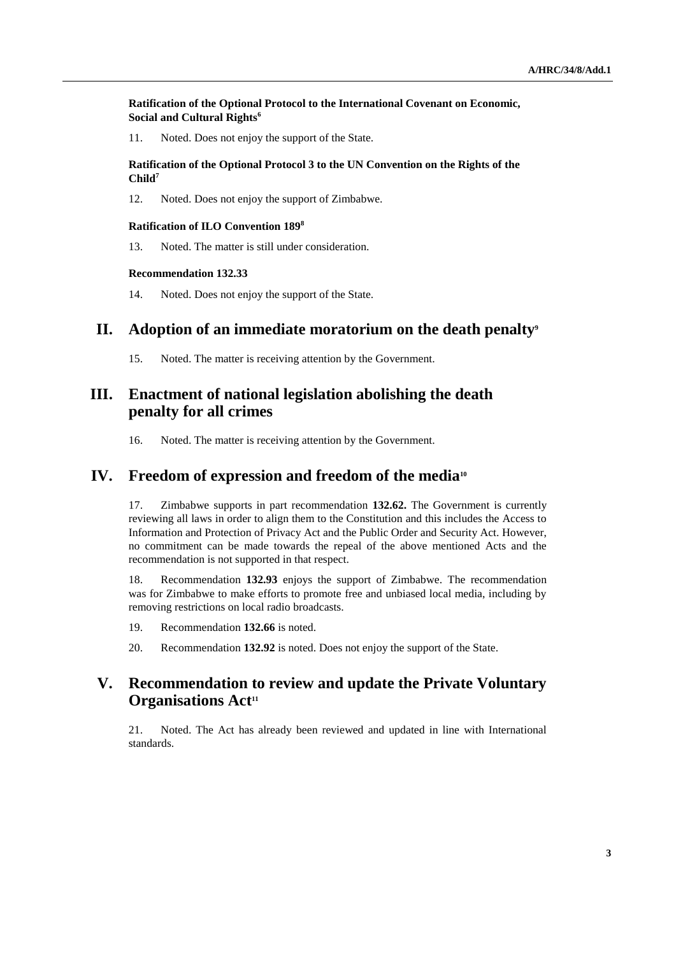#### **Ratification of the Optional Protocol to the International Covenant on Economic, Social and Cultural Rights<sup>6</sup>**

11. Noted. Does not enjoy the support of the State.

#### **Ratification of the Optional Protocol 3 to the UN Convention on the Rights of the Child<sup>7</sup>**

12. Noted. Does not enjoy the support of Zimbabwe.

#### **Ratification of ILO Convention 189<sup>8</sup>**

13. Noted. The matter is still under consideration.

#### **Recommendation 132.33**

14. Noted. Does not enjoy the support of the State.

## **II. Adoption of an immediate moratorium on the death penalty<sup>9</sup>**

15. Noted. The matter is receiving attention by the Government.

# **III. Enactment of national legislation abolishing the death penalty for all crimes**

16. Noted. The matter is receiving attention by the Government.

### **IV. Freedom of expression and freedom of the media<sup>10</sup>**

17. Zimbabwe supports in part recommendation **132.62.** The Government is currently reviewing all laws in order to align them to the Constitution and this includes the Access to Information and Protection of Privacy Act and the Public Order and Security Act. However, no commitment can be made towards the repeal of the above mentioned Acts and the recommendation is not supported in that respect.

18. Recommendation **132.93** enjoys the support of Zimbabwe. The recommendation was for Zimbabwe to make efforts to promote free and unbiased local media, including by removing restrictions on local radio broadcasts.

- 19. Recommendation **132.66** is noted.
- 20. Recommendation **132.92** is noted. Does not enjoy the support of the State.

# **V. Recommendation to review and update the Private Voluntary Organisations Act<sup>11</sup>**

21. Noted. The Act has already been reviewed and updated in line with International standards.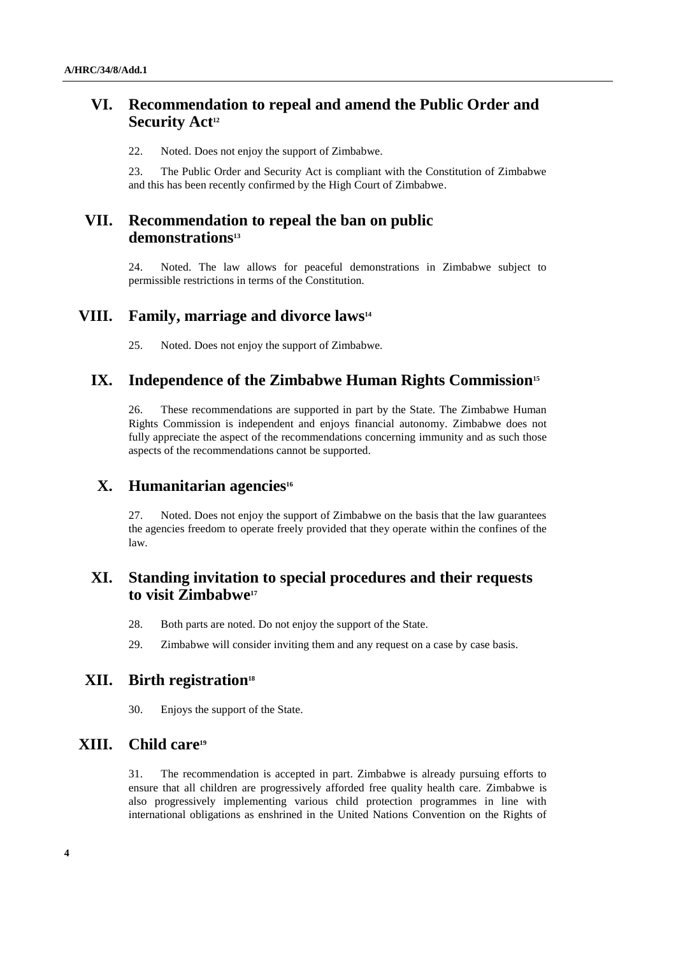# **VI. Recommendation to repeal and amend the Public Order and Security Act<sup>12</sup>**

22. Noted. Does not enjoy the support of Zimbabwe.

23. The Public Order and Security Act is compliant with the Constitution of Zimbabwe and this has been recently confirmed by the High Court of Zimbabwe.

# **VII. Recommendation to repeal the ban on public demonstrations<sup>13</sup>**

24. Noted. The law allows for peaceful demonstrations in Zimbabwe subject to permissible restrictions in terms of the Constitution.

## **VIII. Family, marriage and divorce laws<sup>14</sup>**

25. Noted. Does not enjoy the support of Zimbabwe.

## **IX. Independence of the Zimbabwe Human Rights Commission<sup>15</sup>**

26. These recommendations are supported in part by the State. The Zimbabwe Human Rights Commission is independent and enjoys financial autonomy. Zimbabwe does not fully appreciate the aspect of the recommendations concerning immunity and as such those aspects of the recommendations cannot be supported.

## **X. Humanitarian agencies<sup>16</sup>**

27. Noted. Does not enjoy the support of Zimbabwe on the basis that the law guarantees the agencies freedom to operate freely provided that they operate within the confines of the law.

# **XI. Standing invitation to special procedures and their requests to visit Zimbabwe<sup>17</sup>**

- 28. Both parts are noted. Do not enjoy the support of the State.
- 29. Zimbabwe will consider inviting them and any request on a case by case basis.

## **XII. Birth registration<sup>18</sup>**

30. Enjoys the support of the State.

# **XIII. Child care<sup>19</sup>**

31. The recommendation is accepted in part. Zimbabwe is already pursuing efforts to ensure that all children are progressively afforded free quality health care. Zimbabwe is also progressively implementing various child protection programmes in line with international obligations as enshrined in the United Nations Convention on the Rights of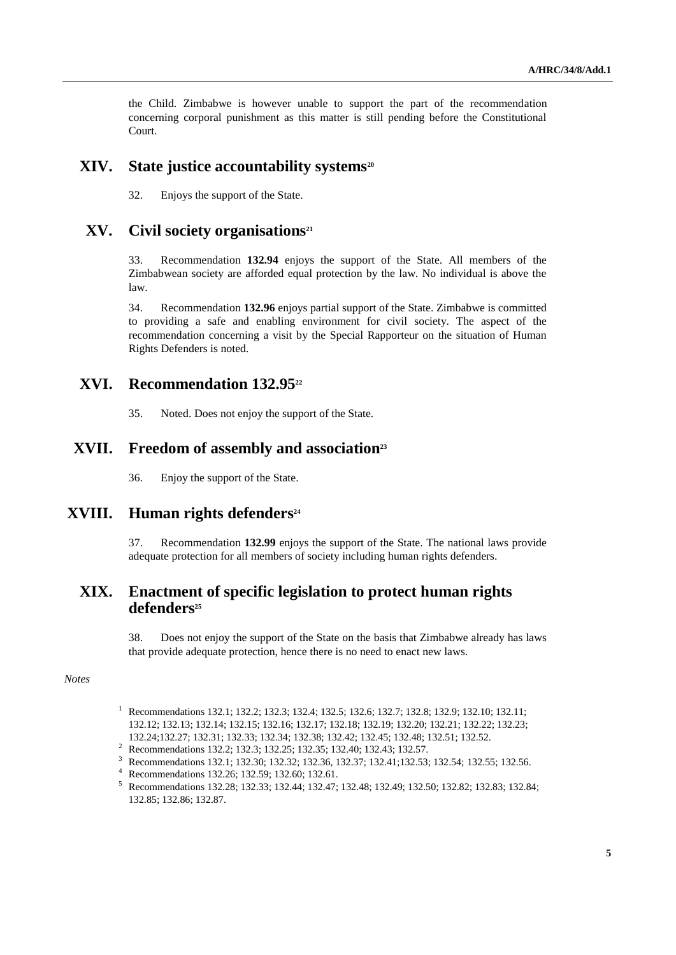the Child. Zimbabwe is however unable to support the part of the recommendation concerning corporal punishment as this matter is still pending before the Constitutional Court.

### **XIV. State justice accountability systems<sup>20</sup>**

32. Enjoys the support of the State.

## **XV. Civil society organisations<sup>21</sup>**

33. Recommendation **132.94** enjoys the support of the State. All members of the Zimbabwean society are afforded equal protection by the law. No individual is above the law.

34. Recommendation **132.96** enjoys partial support of the State. Zimbabwe is committed to providing a safe and enabling environment for civil society. The aspect of the recommendation concerning a visit by the Special Rapporteur on the situation of Human Rights Defenders is noted.

## **XVI. Recommendation 132.95<sup>22</sup>**

35. Noted. Does not enjoy the support of the State.

#### **XVII. Freedom of assembly and association<sup>23</sup>**

36. Enjoy the support of the State.

#### **XVIII. Human rights defenders<sup>24</sup>**

37. Recommendation **132.99** enjoys the support of the State. The national laws provide adequate protection for all members of society including human rights defenders.

# **XIX. Enactment of specific legislation to protect human rights defenders<sup>25</sup>**

38. Does not enjoy the support of the State on the basis that Zimbabwe already has laws that provide adequate protection, hence there is no need to enact new laws.

#### *Notes*

- <sup>1</sup> Recommendations 132.1; 132.2; 132.3; 132.4; 132.5; 132.6; 132.7; 132.8; 132.9; 132.10; 132.11; 132.12; 132.13; 132.14; 132.15; 132.16; 132.17; 132.18; 132.19; 132.20; 132.21; 132.22; 132.23; 132.24;132.27; 132.31; 132.33; 132.34; 132.38; 132.42; 132.45; 132.48; 132.51; 132.52.
- <sup>2</sup> Recommendations 132.2; 132.3; 132.25; 132.35; 132.40; 132.43; 132.57.
- <sup>3</sup> Recommendations 132.1; 132.30; 132.32; 132.36, 132.37; 132.41;132.53; 132.54; 132.55; 132.56.
- <sup>4</sup> Recommendations 132.26; 132.59; 132.60; 132.61.

<sup>5</sup> Recommendations 132.28; 132.33; 132.44; 132.47; 132.48; 132.49; 132.50; 132.82; 132.83; 132.84; 132.85; 132.86; 132.87.